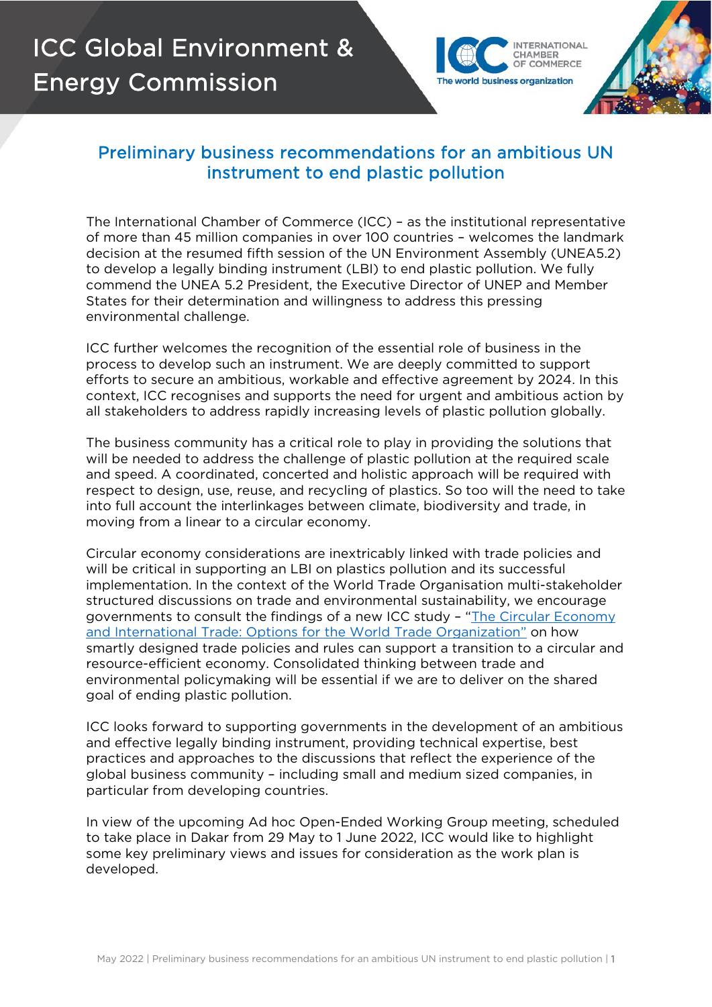

CHAMBER

The world business organization

## Preliminary business recommendations for an ambitious UN instrument to end plastic pollution

The International Chamber of Commerce (ICC) – as the institutional representative of more than 45 million companies in over 100 countries – welcomes the landmark decision at the resumed fifth session of the UN Environment Assembly (UNEA5.2) to develop a legally binding instrument (LBI) to end plastic pollution. We fully commend the UNEA 5.2 President, the Executive Director of UNEP and Member States for their determination and willingness to address this pressing environmental challenge.

ICC further welcomes the recognition of the essential role of business in the process to develop such an instrument. We are deeply committed to support efforts to secure an ambitious, workable and effective agreement by 2024. In this context, ICC recognises and supports the need for urgent and ambitious action by all stakeholders to address rapidly increasing levels of plastic pollution globally.

The business community has a critical role to play in providing the solutions that will be needed to address the challenge of plastic pollution at the required scale and speed. A coordinated, concerted and holistic approach will be required with respect to design, use, reuse, and recycling of plastics. So too will the need to take into full account the interlinkages between climate, biodiversity and trade, in moving from a linear to a circular economy.

Circular economy considerations are inextricably linked with trade policies and will be critical in supporting an LBI on plastics pollution and its successful implementation. In the context of the World Trade Organisation multi-stakeholder structured discussions on trade and environmental sustainability, we encourage governments to consult the findings of a new ICC study - "The Circular Economy [and International Trade: Options for the World Trade Organization"](https://iccwbo.org/publication/the-circular-economy-and-international-trade-options-for-the-world-trade-organization/) on how smartly designed trade policies and rules can support a transition to a circular and resource-efficient economy. Consolidated thinking between trade and environmental policymaking will be essential if we are to deliver on the shared goal of ending plastic pollution.

ICC looks forward to supporting governments in the development of an ambitious and effective legally binding instrument, providing technical expertise, best practices and approaches to the discussions that reflect the experience of the global business community – including small and medium sized companies, in particular from developing countries.

In view of the upcoming Ad hoc Open-Ended Working Group meeting, scheduled to take place in Dakar from 29 May to 1 June 2022, ICC would like to highlight some key preliminary views and issues for consideration as the work plan is developed.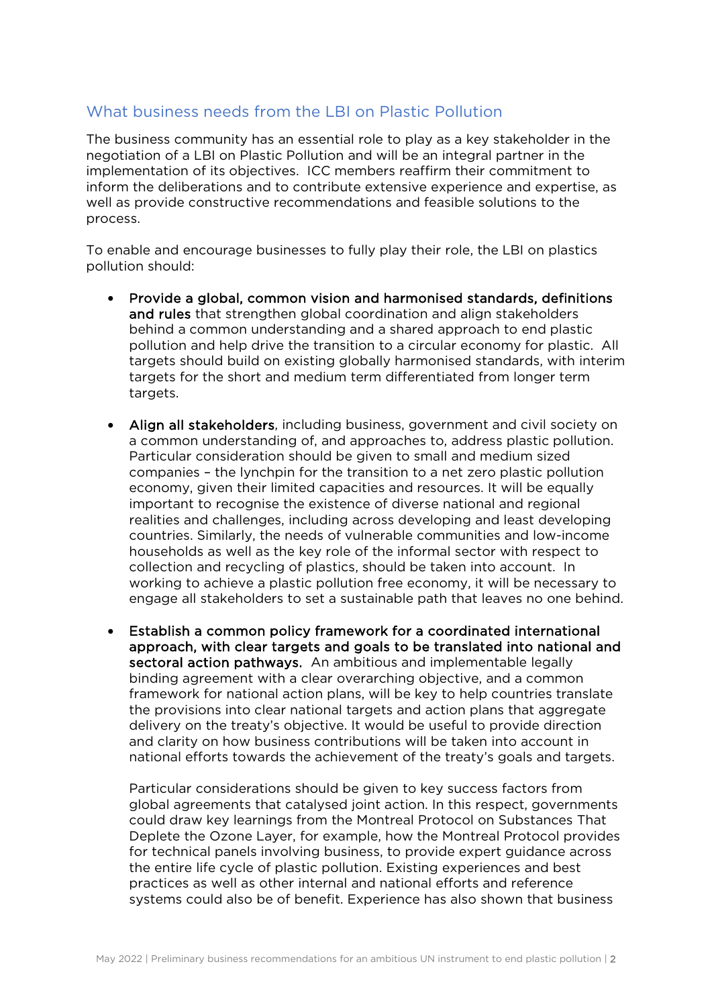## What business needs from the LBI on Plastic Pollution

The business community has an essential role to play as a key stakeholder in the negotiation of a LBI on Plastic Pollution and will be an integral partner in the implementation of its objectives. ICC members reaffirm their commitment to inform the deliberations and to contribute extensive experience and expertise, as well as provide constructive recommendations and feasible solutions to the process.

To enable and encourage businesses to fully play their role, the LBI on plastics pollution should:

- Provide a global, common vision and harmonised standards, definitions and rules that strengthen global coordination and align stakeholders behind a common understanding and a shared approach to end plastic pollution and help drive the transition to a circular economy for plastic. All targets should build on existing globally harmonised standards, with interim targets for the short and medium term differentiated from longer term targets.
- Align all stakeholders, including business, government and civil society on a common understanding of, and approaches to, address plastic pollution. Particular consideration should be given to small and medium sized companies – the lynchpin for the transition to a net zero plastic pollution economy, given their limited capacities and resources. It will be equally important to recognise the existence of diverse national and regional realities and challenges, including across developing and least developing countries. Similarly, the needs of vulnerable communities and low-income households as well as the key role of the informal sector with respect to collection and recycling of plastics, should be taken into account. In working to achieve a plastic pollution free economy, it will be necessary to engage all stakeholders to set a sustainable path that leaves no one behind.
- Establish a common policy framework for a coordinated international approach, with clear targets and goals to be translated into national and sectoral action pathways. An ambitious and implementable legally binding agreement with a clear overarching objective, and a common framework for national action plans, will be key to help countries translate the provisions into clear national targets and action plans that aggregate delivery on the treaty's objective. It would be useful to provide direction and clarity on how business contributions will be taken into account in national efforts towards the achievement of the treaty's goals and targets.

Particular considerations should be given to key success factors from global agreements that catalysed joint action. In this respect, governments could draw key learnings from the Montreal Protocol on Substances That Deplete the Ozone Layer, for example, how the Montreal Protocol provides for technical panels involving business, to provide expert guidance across the entire life cycle of plastic pollution. Existing experiences and best practices as well as other internal and national efforts and reference systems could also be of benefit. Experience has also shown that business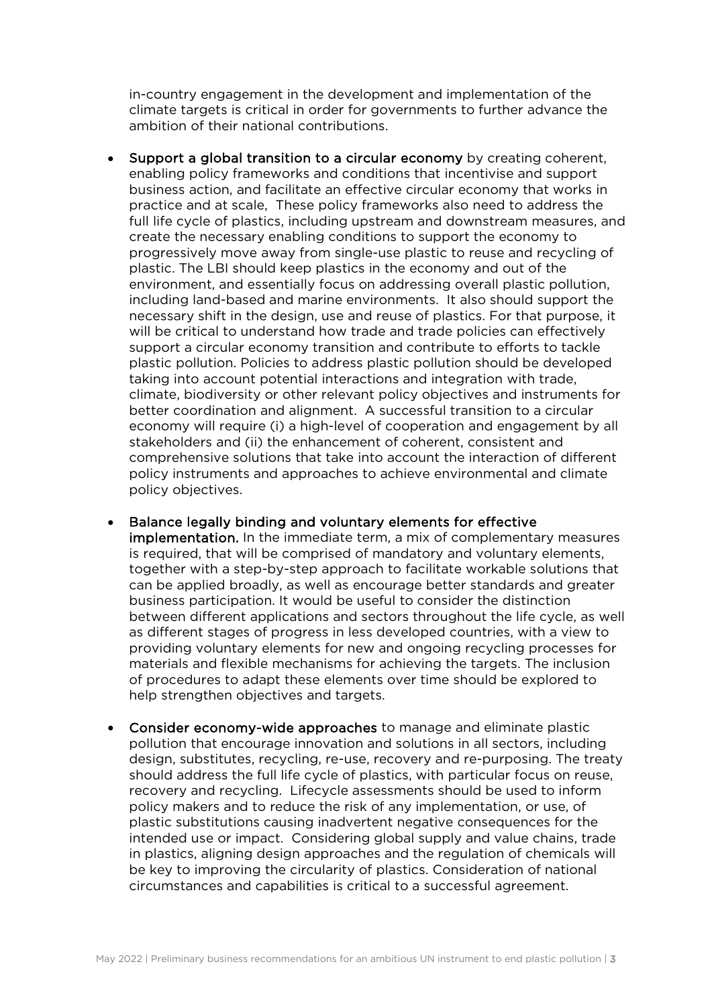in-country engagement in the development and implementation of the climate targets is critical in order for governments to further advance the ambition of their national contributions.

- Support a global transition to a circular economy by creating coherent, enabling policy frameworks and conditions that incentivise and support business action, and facilitate an effective circular economy that works in practice and at scale, These policy frameworks also need to address the full life cycle of plastics, including upstream and downstream measures, and create the necessary enabling conditions to support the economy to progressively move away from single-use plastic to reuse and recycling of plastic. The LBI should keep plastics in the economy and out of the environment, and essentially focus on addressing overall plastic pollution, including land-based and marine environments. It also should support the necessary shift in the design, use and reuse of plastics. For that purpose, it will be critical to understand how trade and trade policies can effectively support a circular economy transition and contribute to efforts to tackle plastic pollution. Policies to address plastic pollution should be developed taking into account potential interactions and integration with trade, climate, biodiversity or other relevant policy objectives and instruments for better coordination and alignment. A successful transition to a circular economy will require (i) a high-level of cooperation and engagement by all stakeholders and (ii) the enhancement of coherent, consistent and comprehensive solutions that take into account the interaction of different policy instruments and approaches to achieve environmental and climate policy objectives.
- Balance legally binding and voluntary elements for effective implementation. In the immediate term, a mix of complementary measures is required, that will be comprised of mandatory and voluntary elements, together with a step-by-step approach to facilitate workable solutions that can be applied broadly, as well as encourage better standards and greater business participation. It would be useful to consider the distinction between different applications and sectors throughout the life cycle, as well as different stages of progress in less developed countries, with a view to providing voluntary elements for new and ongoing recycling processes for materials and flexible mechanisms for achieving the targets. The inclusion of procedures to adapt these elements over time should be explored to help strengthen objectives and targets.
- Consider economy-wide approaches to manage and eliminate plastic pollution that encourage innovation and solutions in all sectors, including design, substitutes, recycling, re-use, recovery and re-purposing. The treaty should address the full life cycle of plastics, with particular focus on reuse, recovery and recycling. Lifecycle assessments should be used to inform policy makers and to reduce the risk of any implementation, or use, of plastic substitutions causing inadvertent negative consequences for the intended use or impact. Considering global supply and value chains, trade in plastics, aligning design approaches and the regulation of chemicals will be key to improving the circularity of plastics. Consideration of national circumstances and capabilities is critical to a successful agreement.